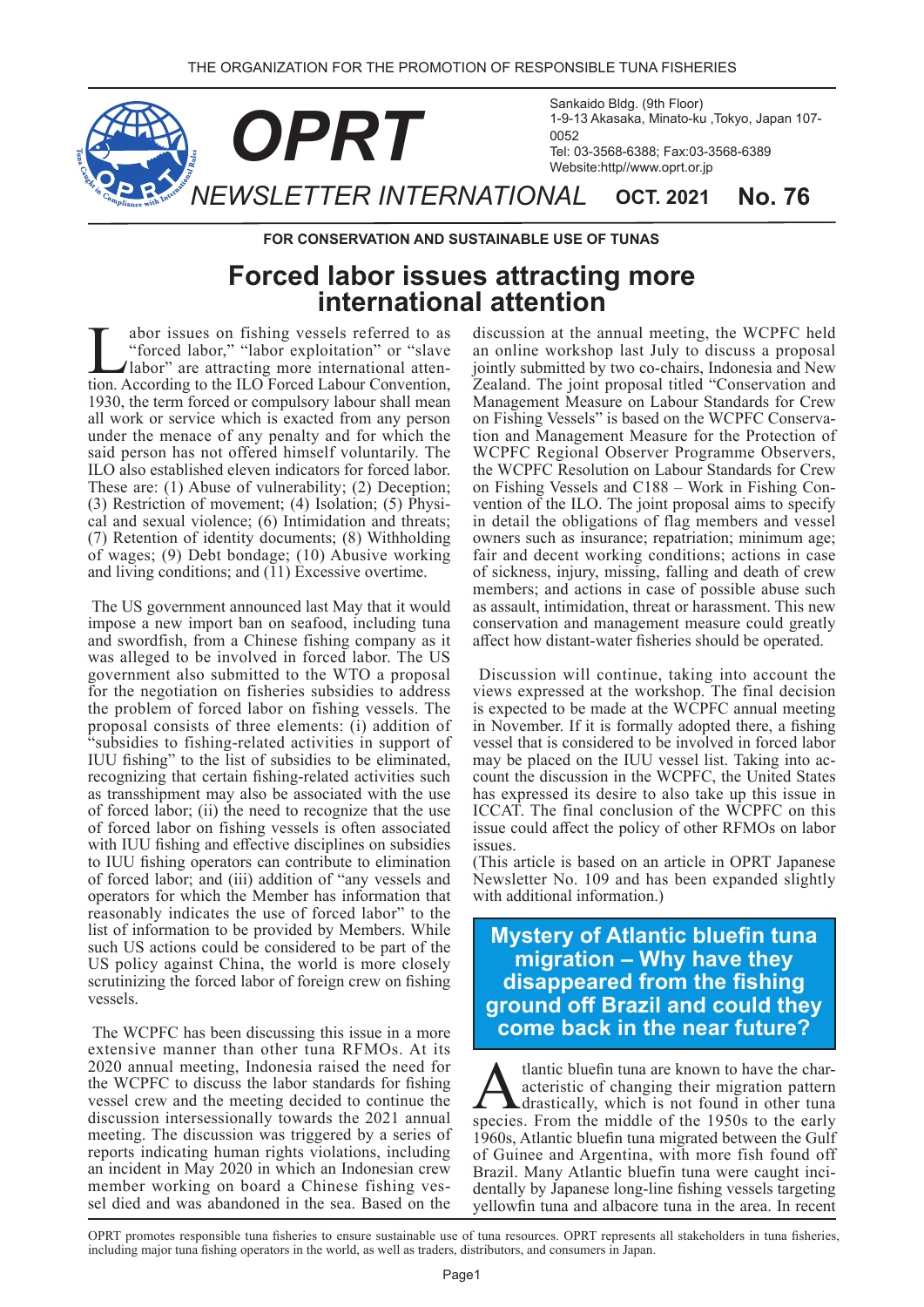

**FOR CONSERVATION AND SUSTAINABLE USE OF TUNAS** 

## **Forced labor issues attracting more international attention**

abor issues on fishing vessels referred to as<br>"forced labor," "labor exploitation" or "slave<br>labor" are attracting more international atten-<br>tion According to the ILO Forced Labour Convention "forced labor," "labor exploitation" or "slave" tion. According to the ILO Forced Labour Convention, labor" are attracting more international atten-1930, the term forced or compulsory labour shall mean all work or service which is exacted from any person under the menace of any penalty and for which the said person has not offered himself voluntarily. The ILO also established eleven indicators for forced labor. These are: (1) Abuse of vulnerability; (2) Deception; cal and sexual violence;  $(6)$  Intimidation and threats;  $(3)$  Restriction of movement;  $(4)$  Isolation;  $(5)$  Physi- $(7)$  Retention of identity documents;  $(8)$  Withholding of wages; (9) Debt bondage; (10) Abusive working and living conditions; and  $(11)$  Excessive overtime.

The US government announced last May that it would impose a new import ban on seafood, including tuna and swordfish, from a Chinese fishing company as it was alleged to be involved in forced labor. The US government also submitted to the WTO a proposal for the negotiation on fisheries subsidies to address the problem of forced labor on fishing vessels. The proposal consists of three elements: (i) addition of "subsidies to fishing-related activities in support of IUU fishing" to the list of subsidies to be eliminated, recognizing that certain fishing-related activities such as transshipment may also be associated with the use of forced labor; (ii) the need to recognize that the use of forced labor on fishing vessels is often associated with IUU fishing and effective disciplines on subsidies to IUU fishing operators can contribute to elimination of forced labor; and (iii) addition of "any vessels and operators for which the Member has information that reasonably indicates the use of forced labor" to the list of information to be provided by Members. While such US actions could be considered to be part of the US policy against China, the world is more closely scrutinizing the forced labor of foreign crew on fishing .vessels

The WCPFC has been discussing this issue in a more extensive manner than other tuna RFMOs. At its 2020 annual meeting, Indonesia raised the need for the WCPFC to discuss the labor standards for fishing vessel crew and the meeting decided to continue the discussion intersessionally towards the 2021 annual meeting. The discussion was triggered by a series of reports indicating human rights violations, including an incident in May 2020 in which an Indonesian crew member working on board a Chinese fishing vessel died and was abandoned in the sea. Based on the

discussion at the annual meeting, the WCPFC held an online workshop last July to discuss a proposal jointly submitted by two co-chairs, Indonesia and New Zealand. The joint proposal titled "Conservation and Management Measure on Labour Standards for Crew on Fishing Vessels" is based on the WCPFC Conservation and Management Measure for the Protection of WCPFC Regional Observer Programme Observers, the WCPFC Resolution on Labour Standards for Crew vention of the ILO. The joint proposal aims to specify on Fishing Vessels and  $C188 - Work$  in Fishing Conin detail the obligations of flag members and vessel owners such as insurance; repatriation; minimum age; fair and decent working conditions; actions in case of sickness, injury, missing, falling and death of crew members; and actions in case of possible abuse such as assault, intimidation, threat or harassment. This new conservation and management measure could greatly affect how distant-water fisheries should be operated.

Discussion will continue, taking into account the views expressed at the workshop. The final decision is expected to be made at the WCPFC annual meeting in November. If it is formally adopted there, a fishing vessel that is considered to be involved in forced labor count the discussion in the WCPFC, the United States may be placed on the IUU vessel list. Taking into achas expressed its desire to also take up this issue in ICCAT. The final conclusion of the WCPFC on this issue could affect the policy of other RFMOs on labor issues.

(This article is based on an article in OPRT Japanese) Newsletter No. 109 and has been expanded slightly with additional information.)

## **Mystery of Atlantic bluefin tuna migration – Why have they disappeared from the fishing** ground off Brazil and could they **come back in the near future?**

**A** tlantic bluefin tuna are known to have the characteristic of changing their migration pattern<br>drastically, which is not found in other tuna<br>species. From the middle of the 1950s to the early drastically, which is not found in other tuna. species. From the middle of the 1950s to the early 1960s, Atlantic bluefin tuna migrated between the Gulf of Guinee and Argentina, with more fish found off dentally by Japanese long-line fishing vessels targeting Brazil. Many Atlantic bluefin tuna were caught incivellowfin tuna and albacore tuna in the area. In recent

OPRT promotes responsible tuna fisheries to ensure sustainable use of tuna resources. OPRT represents all stakeholders in tuna fisheries, including major tuna fishing operators in the world, as well as traders, distributors, and consumers in Japan.